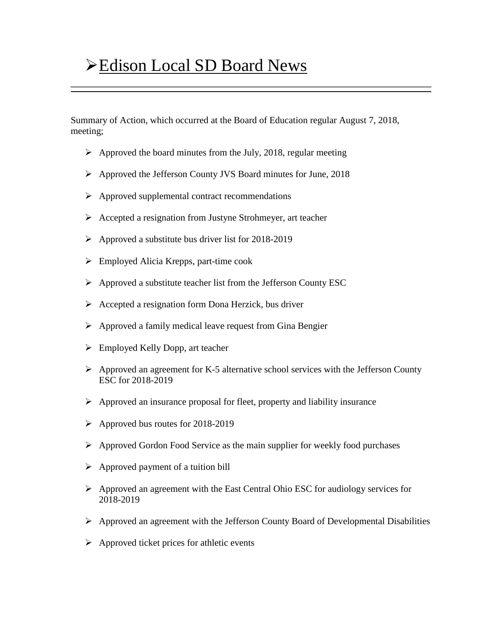## **Edison Local SD Board News**

Summary of Action, which occurred at the Board of Education regular August 7, 2018, meeting;

- $\triangleright$  Approved the board minutes from the July, 2018, regular meeting
- Approved the Jefferson County JVS Board minutes for June, 2018
- $\triangleright$  Approved supplemental contract recommendations
- $\triangleright$  Accepted a resignation from Justyne Strohmeyer, art teacher
- $\triangleright$  Approved a substitute bus driver list for 2018-2019
- $\triangleright$  Employed Alicia Krepps, part-time cook
- $\triangleright$  Approved a substitute teacher list from the Jefferson County ESC
- $\triangleright$  Accepted a resignation form Dona Herzick, bus driver
- $\triangleright$  Approved a family medical leave request from Gina Bengier
- Employed Kelly Dopp, art teacher
- $\triangleright$  Approved an agreement for K-5 alternative school services with the Jefferson County ESC for 2018-2019
- $\triangleright$  Approved an insurance proposal for fleet, property and liability insurance
- $\triangleright$  Approved bus routes for 2018-2019
- $\triangleright$  Approved Gordon Food Service as the main supplier for weekly food purchases
- $\triangleright$  Approved payment of a tuition bill
- $\triangleright$  Approved an agreement with the East Central Ohio ESC for audiology services for 2018-2019
- $\triangleright$  Approved an agreement with the Jefferson County Board of Developmental Disabilities
- $\triangleright$  Approved ticket prices for athletic events